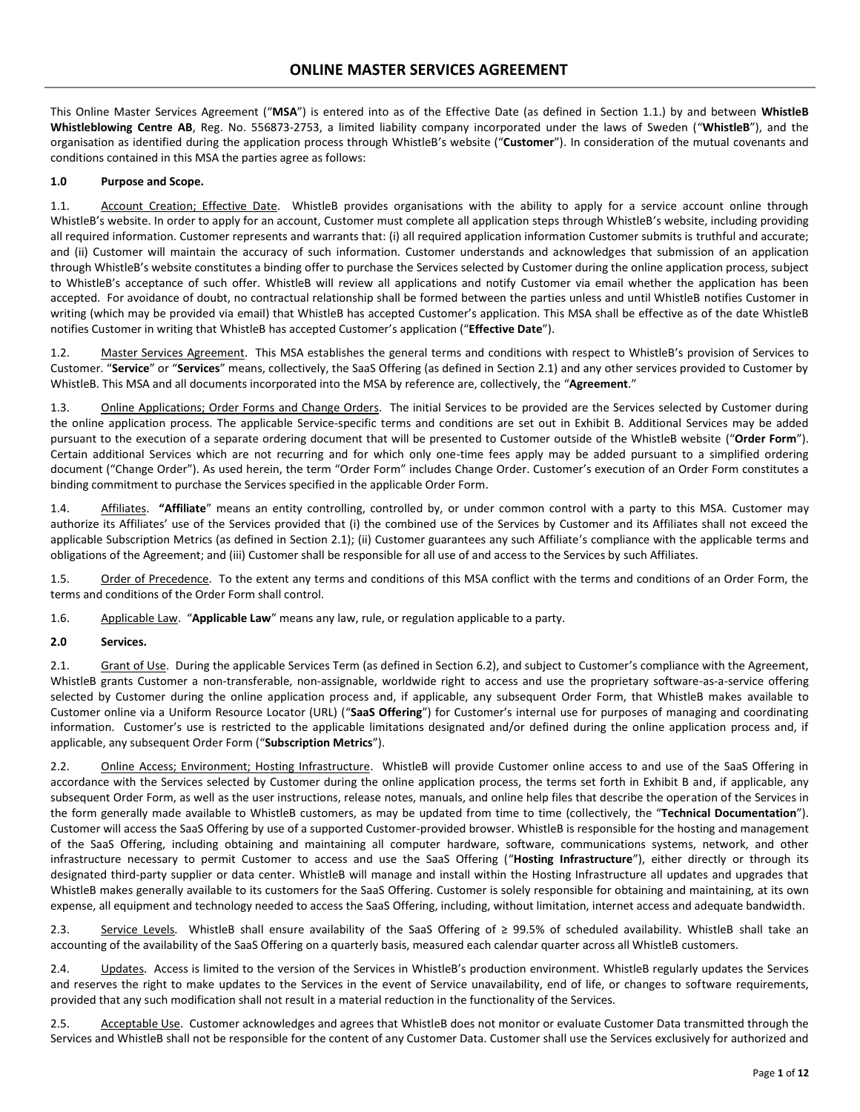This Online Master Services Agreement ("**MSA**") is entered into as of the Effective Date (as defined in Section 1.1.) by and between **WhistleB Whistleblowing Centre AB**, Reg. No. 556873-2753, a limited liability company incorporated under the laws of Sweden ("**WhistleB**"), and the organisation as identified during the application process through WhistleB's website ("**Customer**"). In consideration of the mutual covenants and conditions contained in this MSA the parties agree as follows:

#### **1.0 Purpose and Scope.**

1.1. Account Creation; Effective Date. WhistleB provides organisations with the ability to apply for a service account online through WhistleB's website. In order to apply for an account, Customer must complete all application steps through WhistleB's website, including providing all required information. Customer represents and warrants that: (i) all required application information Customer submits is truthful and accurate; and (ii) Customer will maintain the accuracy of such information. Customer understands and acknowledges that submission of an application through WhistleB's website constitutes a binding offer to purchase the Services selected by Customer during the online application process, subject to WhistleB's acceptance of such offer. WhistleB will review all applications and notify Customer via email whether the application has been accepted. For avoidance of doubt, no contractual relationship shall be formed between the parties unless and until WhistleB notifies Customer in writing (which may be provided via email) that WhistleB has accepted Customer's application. This MSA shall be effective as of the date WhistleB notifies Customer in writing that WhistleB has accepted Customer's application ("**Effective Date**").

1.2. Master Services Agreement.This MSA establishes the general terms and conditions with respect to WhistleB's provision of Services to Customer. "**Service**" or "**Services**" means, collectively, the SaaS Offering (as defined in Section 2.1) and any other services provided to Customer by WhistleB. This MSA and all documents incorporated into the MSA by reference are, collectively, the "**Agreement**."

1.3. Online Applications; Order Forms and Change Orders. The initial Services to be provided are the Services selected by Customer during the online application process. The applicable Service-specific terms and conditions are set out in Exhibit B. Additional Services may be added pursuant to the execution of a separate ordering document that will be presented to Customer outside of the WhistleB website ("**Order Form**"). Certain additional Services which are not recurring and for which only one-time fees apply may be added pursuant to a simplified ordering document ("Change Order"). As used herein, the term "Order Form" includes Change Order. Customer's execution of an Order Form constitutes a binding commitment to purchase the Services specified in the applicable Order Form.

1.4. Affiliates. **"Affiliate**" means an entity controlling, controlled by, or under common control with a party to this MSA. Customer may authorize its Affiliates' use of the Services provided that (i) the combined use of the Services by Customer and its Affiliates shall not exceed the applicable Subscription Metrics (as defined in Section 2.1); (ii) Customer guarantees any such Affiliate's compliance with the applicable terms and obligations of the Agreement; and (iii) Customer shall be responsible for all use of and access to the Services by such Affiliates.

1.5. Order of Precedence. To the extent any terms and conditions of this MSA conflict with the terms and conditions of an Order Form, the terms and conditions of the Order Form shall control.

1.6. Applicable Law. "**Applicable Law**" means any law, rule, or regulation applicable to a party.

#### **2.0 Services.**

2.1. Grant of Use. During the applicable Services Term (as defined in Section 6.2), and subject to Customer's compliance with the Agreement, WhistleB grants Customer a non-transferable, non-assignable, worldwide right to access and use the proprietary software-as-a-service offering selected by Customer during the online application process and, if applicable, any subsequent Order Form, that WhistleB makes available to Customer online via a Uniform Resource Locator (URL) ("**SaaS Offering**") for Customer's internal use for purposes of managing and coordinating information. Customer's use is restricted to the applicable limitations designated and/or defined during the online application process and, if applicable, any subsequent Order Form ("**Subscription Metrics**").

2.2. Online Access; Environment; Hosting Infrastructure. WhistleB will provide Customer online access to and use of the SaaS Offering in accordance with the Services selected by Customer during the online application process, the terms set forth in Exhibit B and, if applicable, any subsequent Order Form, as well as the user instructions, release notes, manuals, and online help files that describe the operation of the Services in the form generally made available to WhistleB customers, as may be updated from time to time (collectively, the "**Technical Documentation**"). Customer will access the SaaS Offering by use of a supported Customer-provided browser. WhistleB is responsible for the hosting and management of the SaaS Offering, including obtaining and maintaining all computer hardware, software, communications systems, network, and other infrastructure necessary to permit Customer to access and use the SaaS Offering ("**Hosting Infrastructure**"), either directly or through its designated third-party supplier or data center. WhistleB will manage and install within the Hosting Infrastructure all updates and upgrades that WhistleB makes generally available to its customers for the SaaS Offering. Customer is solely responsible for obtaining and maintaining, at its own expense, all equipment and technology needed to access the SaaS Offering, including, without limitation, internet access and adequate bandwidth.

2.3. Service Levels. WhistleB shall ensure availability of the SaaS Offering of ≥ 99.5% of scheduled availability. WhistleB shall take an accounting of the availability of the SaaS Offering on a quarterly basis, measured each calendar quarter across all WhistleB customers.

2.4. **Updates.** Access is limited to the version of the Services in WhistleB's production environment. WhistleB regularly updates the Services and reserves the right to make updates to the Services in the event of Service unavailability, end of life, or changes to software requirements, provided that any such modification shall not result in a material reduction in the functionality of the Services.

2.5. Acceptable Use. Customer acknowledges and agrees that WhistleB does not monitor or evaluate Customer Data transmitted through the Services and WhistleB shall not be responsible for the content of any Customer Data. Customer shall use the Services exclusively for authorized and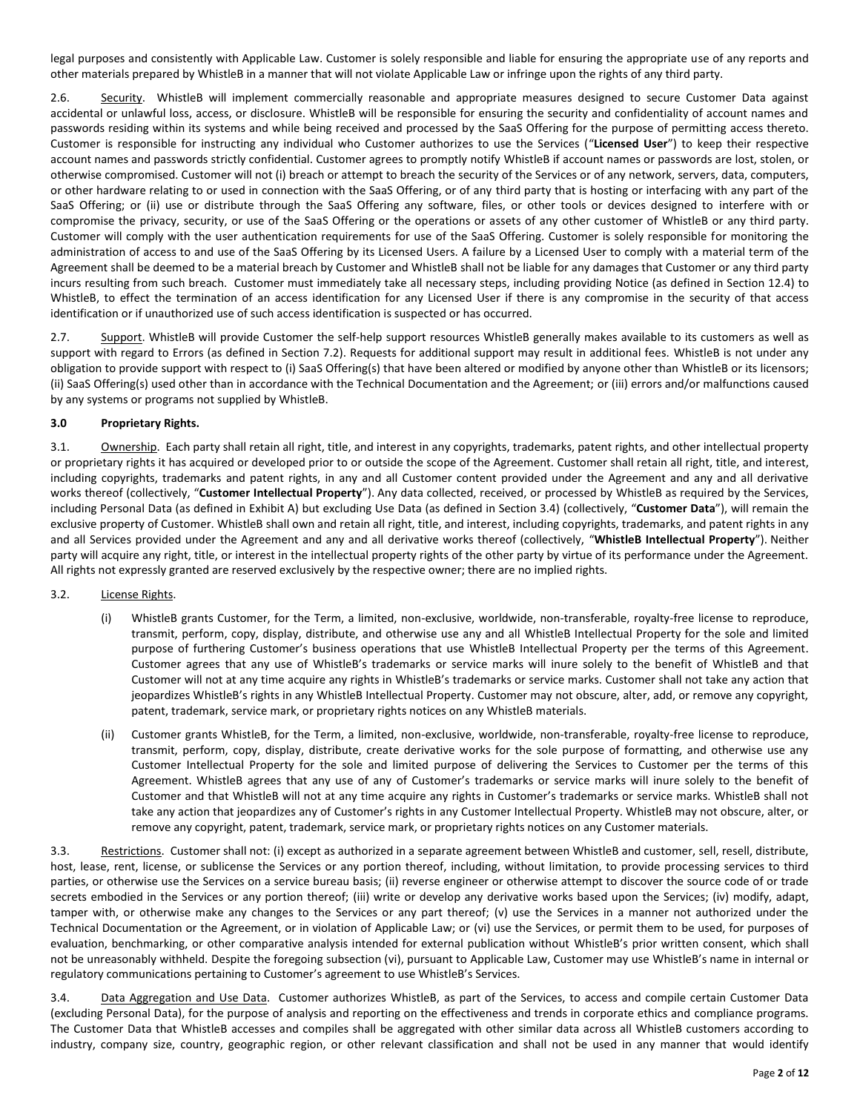legal purposes and consistently with Applicable Law. Customer is solely responsible and liable for ensuring the appropriate use of any reports and other materials prepared by WhistleB in a manner that will not violate Applicable Law or infringe upon the rights of any third party.

2.6. Security. WhistleB will implement commercially reasonable and appropriate measures designed to secure Customer Data against accidental or unlawful loss, access, or disclosure. WhistleB will be responsible for ensuring the security and confidentiality of account names and passwords residing within its systems and while being received and processed by the SaaS Offering for the purpose of permitting access thereto. Customer is responsible for instructing any individual who Customer authorizes to use the Services ("**Licensed User**") to keep their respective account names and passwords strictly confidential. Customer agrees to promptly notify WhistleB if account names or passwords are lost, stolen, or otherwise compromised. Customer will not (i) breach or attempt to breach the security of the Services or of any network, servers, data, computers, or other hardware relating to or used in connection with the SaaS Offering, or of any third party that is hosting or interfacing with any part of the SaaS Offering; or (ii) use or distribute through the SaaS Offering any software, files, or other tools or devices designed to interfere with or compromise the privacy, security, or use of the SaaS Offering or the operations or assets of any other customer of WhistleB or any third party. Customer will comply with the user authentication requirements for use of the SaaS Offering. Customer is solely responsible for monitoring the administration of access to and use of the SaaS Offering by its Licensed Users. A failure by a Licensed User to comply with a material term of the Agreement shall be deemed to be a material breach by Customer and WhistleB shall not be liable for any damages that Customer or any third party incurs resulting from such breach. Customer must immediately take all necessary steps, including providing Notice (as defined in Section 12.4) to WhistleB, to effect the termination of an access identification for any Licensed User if there is any compromise in the security of that access identification or if unauthorized use of such access identification is suspected or has occurred.

2.7. Support. WhistleB will provide Customer the self-help support resources WhistleB generally makes available to its customers as well as support with regard to Errors (as defined in Section 7.2). Requests for additional support may result in additional fees. WhistleB is not under any obligation to provide support with respect to (i) SaaS Offering(s) that have been altered or modified by anyone other than WhistleB or its licensors; (ii) SaaS Offering(s) used other than in accordance with the Technical Documentation and the Agreement; or (iii) errors and/or malfunctions caused by any systems or programs not supplied by WhistleB.

### **3.0 Proprietary Rights.**

3.1. Ownership. Each party shall retain all right, title, and interest in any copyrights, trademarks, patent rights, and other intellectual property or proprietary rights it has acquired or developed prior to or outside the scope of the Agreement. Customer shall retain all right, title, and interest, including copyrights, trademarks and patent rights, in any and all Customer content provided under the Agreement and any and all derivative works thereof (collectively, "**Customer Intellectual Property**"). Any data collected, received, or processed by WhistleB as required by the Services, including Personal Data (as defined in Exhibit A) but excluding Use Data (as defined in Section 3.4) (collectively, "**Customer Data**"), will remain the exclusive property of Customer. WhistleB shall own and retain all right, title, and interest, including copyrights, trademarks, and patent rights in any and all Services provided under the Agreement and any and all derivative works thereof (collectively, "**WhistleB Intellectual Property**"). Neither party will acquire any right, title, or interest in the intellectual property rights of the other party by virtue of its performance under the Agreement. All rights not expressly granted are reserved exclusively by the respective owner; there are no implied rights.

#### 3.2. License Rights.

- (i) WhistleB grants Customer, for the Term, a limited, non-exclusive, worldwide, non-transferable, royalty-free license to reproduce, transmit, perform, copy, display, distribute, and otherwise use any and all WhistleB Intellectual Property for the sole and limited purpose of furthering Customer's business operations that use WhistleB Intellectual Property per the terms of this Agreement. Customer agrees that any use of WhistleB's trademarks or service marks will inure solely to the benefit of WhistleB and that Customer will not at any time acquire any rights in WhistleB's trademarks or service marks. Customer shall not take any action that jeopardizes WhistleB's rights in any WhistleB Intellectual Property. Customer may not obscure, alter, add, or remove any copyright, patent, trademark, service mark, or proprietary rights notices on any WhistleB materials.
- (ii) Customer grants WhistleB, for the Term, a limited, non-exclusive, worldwide, non-transferable, royalty-free license to reproduce, transmit, perform, copy, display, distribute, create derivative works for the sole purpose of formatting, and otherwise use any Customer Intellectual Property for the sole and limited purpose of delivering the Services to Customer per the terms of this Agreement. WhistleB agrees that any use of any of Customer's trademarks or service marks will inure solely to the benefit of Customer and that WhistleB will not at any time acquire any rights in Customer's trademarks or service marks. WhistleB shall not take any action that jeopardizes any of Customer's rights in any Customer Intellectual Property. WhistleB may not obscure, alter, or remove any copyright, patent, trademark, service mark, or proprietary rights notices on any Customer materials.

3.3. Restrictions.Customer shall not: (i) except as authorized in a separate agreement between WhistleB and customer, sell, resell, distribute, host, lease, rent, license, or sublicense the Services or any portion thereof, including, without limitation, to provide processing services to third parties, or otherwise use the Services on a service bureau basis; (ii) reverse engineer or otherwise attempt to discover the source code of or trade secrets embodied in the Services or any portion thereof; (iii) write or develop any derivative works based upon the Services; (iv) modify, adapt, tamper with, or otherwise make any changes to the Services or any part thereof; (v) use the Services in a manner not authorized under the Technical Documentation or the Agreement, or in violation of Applicable Law; or (vi) use the Services, or permit them to be used, for purposes of evaluation, benchmarking, or other comparative analysis intended for external publication without WhistleB's prior written consent, which shall not be unreasonably withheld. Despite the foregoing subsection (vi), pursuant to Applicable Law, Customer may use WhistleB's name in internal or regulatory communications pertaining to Customer's agreement to use WhistleB's Services.

3.4. Data Aggregation and Use Data. Customer authorizes WhistleB, as part of the Services, to access and compile certain Customer Data (excluding Personal Data), for the purpose of analysis and reporting on the effectiveness and trends in corporate ethics and compliance programs. The Customer Data that WhistleB accesses and compiles shall be aggregated with other similar data across all WhistleB customers according to industry, company size, country, geographic region, or other relevant classification and shall not be used in any manner that would identify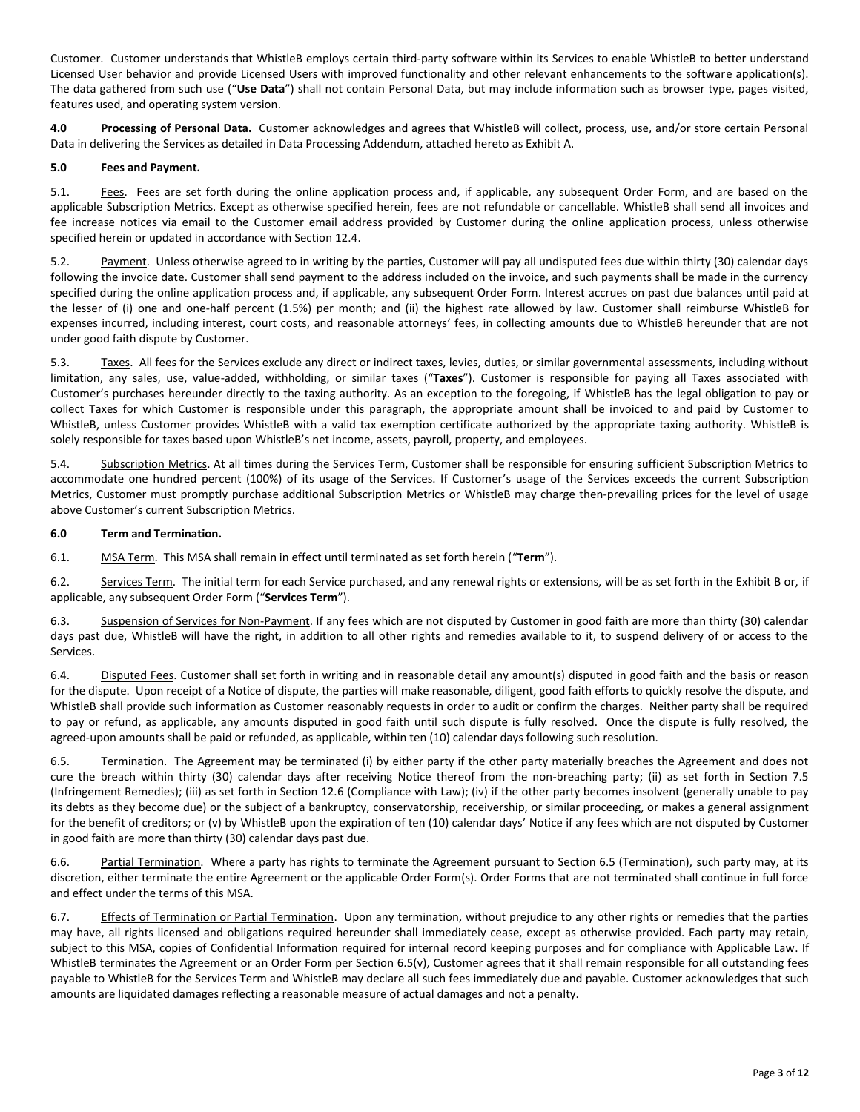Customer. Customer understands that WhistleB employs certain third-party software within its Services to enable WhistleB to better understand Licensed User behavior and provide Licensed Users with improved functionality and other relevant enhancements to the software application(s). The data gathered from such use ("**Use Data**") shall not contain Personal Data, but may include information such as browser type, pages visited, features used, and operating system version.

**4.0 Processing of Personal Data.** Customer acknowledges and agrees that WhistleB will collect, process, use, and/or store certain Personal Data in delivering the Services as detailed in Data Processing Addendum, attached hereto as Exhibit A.

#### **5.0 Fees and Payment.**

5.1. Fees. Fees are set forth during the online application process and, if applicable, any subsequent Order Form, and are based on the applicable Subscription Metrics. Except as otherwise specified herein, fees are not refundable or cancellable. WhistleB shall send all invoices and fee increase notices via email to the Customer email address provided by Customer during the online application process, unless otherwise specified herein or updated in accordance with Section 12.4.

5.2. Payment. Unless otherwise agreed to in writing by the parties, Customer will pay all undisputed fees due within thirty (30) calendar days following the invoice date. Customer shall send payment to the address included on the invoice, and such payments shall be made in the currency specified during the online application process and, if applicable, any subsequent Order Form. Interest accrues on past due balances until paid at the lesser of (i) one and one-half percent (1.5%) per month; and (ii) the highest rate allowed by law. Customer shall reimburse WhistleB for expenses incurred, including interest, court costs, and reasonable attorneys' fees, in collecting amounts due to WhistleB hereunder that are not under good faith dispute by Customer.

5.3. Taxes. All fees for the Services exclude any direct or indirect taxes, levies, duties, or similar governmental assessments, including without limitation, any sales, use, value-added, withholding, or similar taxes ("**Taxes**"). Customer is responsible for paying all Taxes associated with Customer's purchases hereunder directly to the taxing authority. As an exception to the foregoing, if WhistleB has the legal obligation to pay or collect Taxes for which Customer is responsible under this paragraph, the appropriate amount shall be invoiced to and paid by Customer to WhistleB, unless Customer provides WhistleB with a valid tax exemption certificate authorized by the appropriate taxing authority. WhistleB is solely responsible for taxes based upon WhistleB's net income, assets, payroll, property, and employees.

5.4. Subscription Metrics. At all times during the Services Term, Customer shall be responsible for ensuring sufficient Subscription Metrics to accommodate one hundred percent (100%) of its usage of the Services. If Customer's usage of the Services exceeds the current Subscription Metrics, Customer must promptly purchase additional Subscription Metrics or WhistleB may charge then-prevailing prices for the level of usage above Customer's current Subscription Metrics.

#### **6.0 Term and Termination.**

6.1. MSA Term.This MSA shall remain in effect until terminated as set forth herein ("**Term**").

6.2. Services Term. The initial term for each Service purchased, and any renewal rights or extensions, will be as set forth in the Exhibit B or, if applicable, any subsequent Order Form ("**Services Term**").

6.3. Suspension of Services for Non-Payment. If any fees which are not disputed by Customer in good faith are more than thirty (30) calendar days past due, WhistleB will have the right, in addition to all other rights and remedies available to it, to suspend delivery of or access to the Services.

6.4. Disputed Fees. Customer shall set forth in writing and in reasonable detail any amount(s) disputed in good faith and the basis or reason for the dispute. Upon receipt of a Notice of dispute, the parties will make reasonable, diligent, good faith efforts to quickly resolve the dispute, and WhistleB shall provide such information as Customer reasonably requests in order to audit or confirm the charges. Neither party shall be required to pay or refund, as applicable, any amounts disputed in good faith until such dispute is fully resolved. Once the dispute is fully resolved, the agreed-upon amounts shall be paid or refunded, as applicable, within ten (10) calendar days following such resolution.

6.5. Termination. The Agreement may be terminated (i) by either party if the other party materially breaches the Agreement and does not cure the breach within thirty (30) calendar days after receiving Notice thereof from the non-breaching party; (ii) as set forth in Section 7.5 (Infringement Remedies); (iii) as set forth in Section 12.6 (Compliance with Law); (iv) if the other party becomes insolvent (generally unable to pay its debts as they become due) or the subject of a bankruptcy, conservatorship, receivership, or similar proceeding, or makes a general assignment for the benefit of creditors; or (v) by WhistleB upon the expiration of ten (10) calendar days' Notice if any fees which are not disputed by Customer in good faith are more than thirty (30) calendar days past due.

6.6. Partial Termination. Where a party has rights to terminate the Agreement pursuant to Section 6.5 (Termination), such party may, at its discretion, either terminate the entire Agreement or the applicable Order Form(s). Order Forms that are not terminated shall continue in full force and effect under the terms of this MSA.

6.7. Effects of Termination or Partial Termination. Upon any termination, without prejudice to any other rights or remedies that the parties may have, all rights licensed and obligations required hereunder shall immediately cease, except as otherwise provided. Each party may retain, subject to this MSA, copies of Confidential Information required for internal record keeping purposes and for compliance with Applicable Law. If WhistleB terminates the Agreement or an Order Form per Section 6.5(v), Customer agrees that it shall remain responsible for all outstanding fees payable to WhistleB for the Services Term and WhistleB may declare all such fees immediately due and payable. Customer acknowledges that such amounts are liquidated damages reflecting a reasonable measure of actual damages and not a penalty.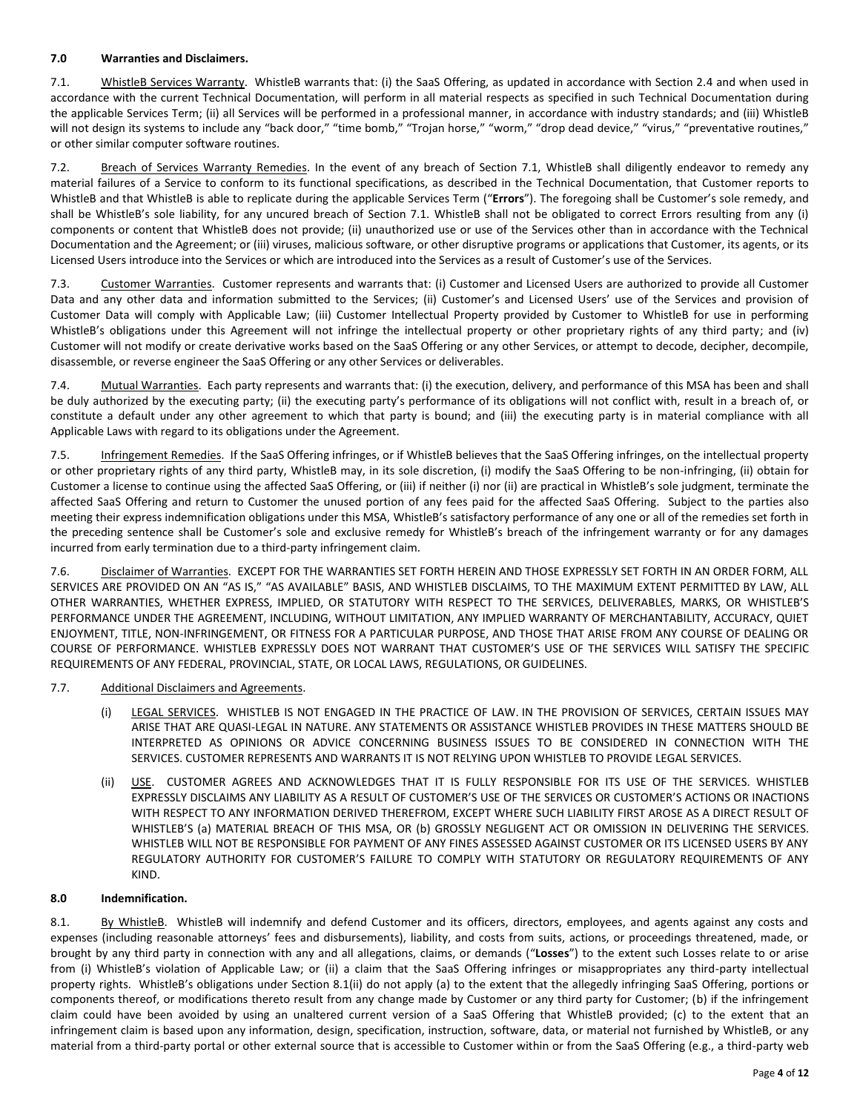#### **7.0 Warranties and Disclaimers.**

7.1. WhistleB Services Warranty. WhistleB warrants that: (i) the SaaS Offering, as updated in accordance with Section 2.4 and when used in accordance with the current Technical Documentation, will perform in all material respects as specified in such Technical Documentation during the applicable Services Term; (ii) all Services will be performed in a professional manner, in accordance with industry standards; and (iii) WhistleB will not design its systems to include any "back door," "time bomb," "Trojan horse," "worm," "drop dead device," "virus," "preventative routines," or other similar computer software routines.

7.2. Breach of Services Warranty Remedies. In the event of any breach of Section 7.1, WhistleB shall diligently endeavor to remedy any material failures of a Service to conform to its functional specifications, as described in the Technical Documentation, that Customer reports to WhistleB and that WhistleB is able to replicate during the applicable Services Term ("**Errors**"). The foregoing shall be Customer's sole remedy, and shall be WhistleB's sole liability, for any uncured breach of Section 7.1. WhistleB shall not be obligated to correct Errors resulting from any (i) components or content that WhistleB does not provide; (ii) unauthorized use or use of the Services other than in accordance with the Technical Documentation and the Agreement; or (iii) viruses, malicious software, or other disruptive programs or applications that Customer, its agents, or its Licensed Users introduce into the Services or which are introduced into the Services as a result of Customer's use of the Services.

7.3. Customer Warranties. Customer represents and warrants that: (i) Customer and Licensed Users are authorized to provide all Customer Data and any other data and information submitted to the Services; (ii) Customer's and Licensed Users' use of the Services and provision of Customer Data will comply with Applicable Law; (iii) Customer Intellectual Property provided by Customer to WhistleB for use in performing WhistleB's obligations under this Agreement will not infringe the intellectual property or other proprietary rights of any third party; and (iv) Customer will not modify or create derivative works based on the SaaS Offering or any other Services, or attempt to decode, decipher, decompile, disassemble, or reverse engineer the SaaS Offering or any other Services or deliverables.

7.4. Mutual Warranties. Each party represents and warrants that: (i) the execution, delivery, and performance of this MSA has been and shall be duly authorized by the executing party; (ii) the executing party's performance of its obligations will not conflict with, result in a breach of, or constitute a default under any other agreement to which that party is bound; and (iii) the executing party is in material compliance with all Applicable Laws with regard to its obligations under the Agreement.

7.5. Infringement Remedies.If the SaaS Offering infringes, or if WhistleB believes that the SaaS Offering infringes, on the intellectual property or other proprietary rights of any third party, WhistleB may, in its sole discretion, (i) modify the SaaS Offering to be non-infringing, (ii) obtain for Customer a license to continue using the affected SaaS Offering, or (iii) if neither (i) nor (ii) are practical in WhistleB's sole judgment, terminate the affected SaaS Offering and return to Customer the unused portion of any fees paid for the affected SaaS Offering. Subject to the parties also meeting their express indemnification obligations under this MSA, WhistleB's satisfactory performance of any one or all of the remedies set forth in the preceding sentence shall be Customer's sole and exclusive remedy for WhistleB's breach of the infringement warranty or for any damages incurred from early termination due to a third-party infringement claim.

7.6. Disclaimer of Warranties.EXCEPT FOR THE WARRANTIES SET FORTH HEREIN AND THOSE EXPRESSLY SET FORTH IN AN ORDER FORM, ALL SERVICES ARE PROVIDED ON AN "AS IS," "AS AVAILABLE" BASIS, AND WHISTLEB DISCLAIMS, TO THE MAXIMUM EXTENT PERMITTED BY LAW, ALL OTHER WARRANTIES, WHETHER EXPRESS, IMPLIED, OR STATUTORY WITH RESPECT TO THE SERVICES, DELIVERABLES, MARKS, OR WHISTLEB'S PERFORMANCE UNDER THE AGREEMENT, INCLUDING, WITHOUT LIMITATION, ANY IMPLIED WARRANTY OF MERCHANTABILITY, ACCURACY, QUIET ENJOYMENT, TITLE, NON-INFRINGEMENT, OR FITNESS FOR A PARTICULAR PURPOSE, AND THOSE THAT ARISE FROM ANY COURSE OF DEALING OR COURSE OF PERFORMANCE. WHISTLEB EXPRESSLY DOES NOT WARRANT THAT CUSTOMER'S USE OF THE SERVICES WILL SATISFY THE SPECIFIC REQUIREMENTS OF ANY FEDERAL, PROVINCIAL, STATE, OR LOCAL LAWS, REGULATIONS, OR GUIDELINES.

### 7.7. Additional Disclaimers and Agreements.

- (i) LEGAL SERVICES. WHISTLEB IS NOT ENGAGED IN THE PRACTICE OF LAW. IN THE PROVISION OF SERVICES, CERTAIN ISSUES MAY ARISE THAT ARE QUASI-LEGAL IN NATURE. ANY STATEMENTS OR ASSISTANCE WHISTLEB PROVIDES IN THESE MATTERS SHOULD BE INTERPRETED AS OPINIONS OR ADVICE CONCERNING BUSINESS ISSUES TO BE CONSIDERED IN CONNECTION WITH THE SERVICES. CUSTOMER REPRESENTS AND WARRANTS IT IS NOT RELYING UPON WHISTLEB TO PROVIDE LEGAL SERVICES.
- (ii) USE. CUSTOMER AGREES AND ACKNOWLEDGES THAT IT IS FULLY RESPONSIBLE FOR ITS USE OF THE SERVICES. WHISTLEB EXPRESSLY DISCLAIMS ANY LIABILITY AS A RESULT OF CUSTOMER'S USE OF THE SERVICES OR CUSTOMER'S ACTIONS OR INACTIONS WITH RESPECT TO ANY INFORMATION DERIVED THEREFROM, EXCEPT WHERE SUCH LIABILITY FIRST AROSE AS A DIRECT RESULT OF WHISTLEB'S (a) MATERIAL BREACH OF THIS MSA, OR (b) GROSSLY NEGLIGENT ACT OR OMISSION IN DELIVERING THE SERVICES. WHISTLEB WILL NOT BE RESPONSIBLE FOR PAYMENT OF ANY FINES ASSESSED AGAINST CUSTOMER OR ITS LICENSED USERS BY ANY REGULATORY AUTHORITY FOR CUSTOMER'S FAILURE TO COMPLY WITH STATUTORY OR REGULATORY REQUIREMENTS OF ANY KIND.

#### **8.0 Indemnification.**

8.1. By WhistleB. WhistleB will indemnify and defend Customer and its officers, directors, employees, and agents against any costs and expenses (including reasonable attorneys' fees and disbursements), liability, and costs from suits, actions, or proceedings threatened, made, or brought by any third party in connection with any and all allegations, claims, or demands ("**Losses**") to the extent such Losses relate to or arise from (i) WhistleB's violation of Applicable Law; or (ii) a claim that the SaaS Offering infringes or misappropriates any third-party intellectual property rights. WhistleB's obligations under Section 8.1(ii) do not apply (a) to the extent that the allegedly infringing SaaS Offering, portions or components thereof, or modifications thereto result from any change made by Customer or any third party for Customer; (b) if the infringement claim could have been avoided by using an unaltered current version of a SaaS Offering that WhistleB provided; (c) to the extent that an infringement claim is based upon any information, design, specification, instruction, software, data, or material not furnished by WhistleB, or any material from a third-party portal or other external source that is accessible to Customer within or from the SaaS Offering (e.g., a third-party web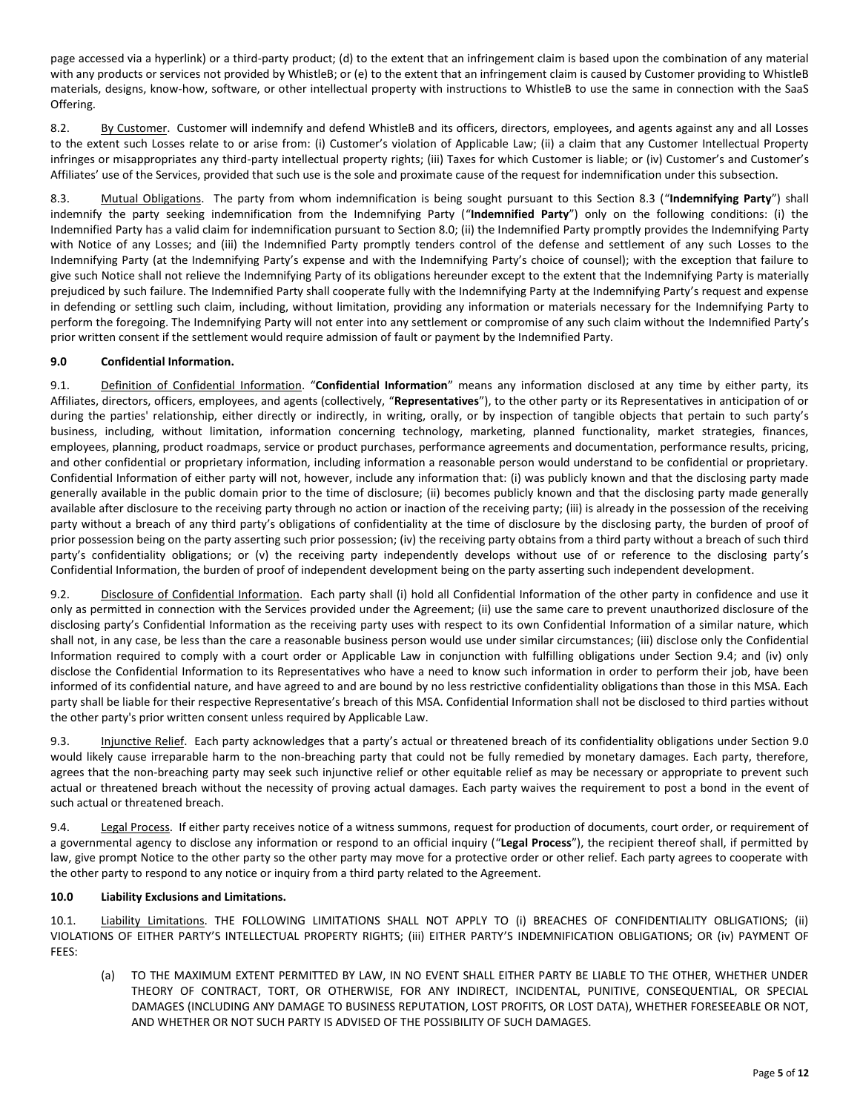page accessed via a hyperlink) or a third-party product; (d) to the extent that an infringement claim is based upon the combination of any material with any products or services not provided by WhistleB; or (e) to the extent that an infringement claim is caused by Customer providing to WhistleB materials, designs, know-how, software, or other intellectual property with instructions to WhistleB to use the same in connection with the SaaS Offering.

8.2. By Customer. Customer will indemnify and defend WhistleB and its officers, directors, employees, and agents against any and all Losses to the extent such Losses relate to or arise from: (i) Customer's violation of Applicable Law; (ii) a claim that any Customer Intellectual Property infringes or misappropriates any third-party intellectual property rights; (iii) Taxes for which Customer is liable; or (iv) Customer's and Customer's Affiliates' use of the Services, provided that such use is the sole and proximate cause of the request for indemnification under this subsection.

8.3. Mutual Obligations. The party from whom indemnification is being sought pursuant to this Section 8.3 ("**Indemnifying Party**") shall indemnify the party seeking indemnification from the Indemnifying Party ("**Indemnified Party**") only on the following conditions: (i) the Indemnified Party has a valid claim for indemnification pursuant to Section 8.0; (ii) the Indemnified Party promptly provides the Indemnifying Party with Notice of any Losses; and (iii) the Indemnified Party promptly tenders control of the defense and settlement of any such Losses to the Indemnifying Party (at the Indemnifying Party's expense and with the Indemnifying Party's choice of counsel); with the exception that failure to give such Notice shall not relieve the Indemnifying Party of its obligations hereunder except to the extent that the Indemnifying Party is materially prejudiced by such failure. The Indemnified Party shall cooperate fully with the Indemnifying Party at the Indemnifying Party's request and expense in defending or settling such claim, including, without limitation, providing any information or materials necessary for the Indemnifying Party to perform the foregoing. The Indemnifying Party will not enter into any settlement or compromise of any such claim without the Indemnified Party's prior written consent if the settlement would require admission of fault or payment by the Indemnified Party.

### **9.0 Confidential Information.**

9.1. Definition of Confidential Information. "**Confidential Information**" means any information disclosed at any time by either party, its Affiliates, directors, officers, employees, and agents (collectively, "**Representatives**"), to the other party or its Representatives in anticipation of or during the parties' relationship, either directly or indirectly, in writing, orally, or by inspection of tangible objects that pertain to such party's business, including, without limitation, information concerning technology, marketing, planned functionality, market strategies, finances, employees, planning, product roadmaps, service or product purchases, performance agreements and documentation, performance results, pricing, and other confidential or proprietary information, including information a reasonable person would understand to be confidential or proprietary. Confidential Information of either party will not, however, include any information that: (i) was publicly known and that the disclosing party made generally available in the public domain prior to the time of disclosure; (ii) becomes publicly known and that the disclosing party made generally available after disclosure to the receiving party through no action or inaction of the receiving party; (iii) is already in the possession of the receiving party without a breach of any third party's obligations of confidentiality at the time of disclosure by the disclosing party, the burden of proof of prior possession being on the party asserting such prior possession; (iv) the receiving party obtains from a third party without a breach of such third party's confidentiality obligations; or (v) the receiving party independently develops without use of or reference to the disclosing party's Confidential Information, the burden of proof of independent development being on the party asserting such independent development.

9.2. Disclosure of Confidential Information. Each party shall (i) hold all Confidential Information of the other party in confidence and use it only as permitted in connection with the Services provided under the Agreement; (ii) use the same care to prevent unauthorized disclosure of the disclosing party's Confidential Information as the receiving party uses with respect to its own Confidential Information of a similar nature, which shall not, in any case, be less than the care a reasonable business person would use under similar circumstances; (iii) disclose only the Confidential Information required to comply with a court order or Applicable Law in conjunction with fulfilling obligations under Section 9.4; and (iv) only disclose the Confidential Information to its Representatives who have a need to know such information in order to perform their job, have been informed of its confidential nature, and have agreed to and are bound by no less restrictive confidentiality obligations than those in this MSA. Each party shall be liable for their respective Representative's breach of this MSA. Confidential Information shall not be disclosed to third parties without the other party's prior written consent unless required by Applicable Law.

9.3. Injunctive Relief. Each party acknowledges that a party's actual or threatened breach of its confidentiality obligations under Section 9.0 would likely cause irreparable harm to the non-breaching party that could not be fully remedied by monetary damages. Each party, therefore, agrees that the non-breaching party may seek such injunctive relief or other equitable relief as may be necessary or appropriate to prevent such actual or threatened breach without the necessity of proving actual damages. Each party waives the requirement to post a bond in the event of such actual or threatened breach.

9.4. Legal Process. If either party receives notice of a witness summons, request for production of documents, court order, or requirement of a governmental agency to disclose any information or respond to an official inquiry ("**Legal Process**"), the recipient thereof shall, if permitted by law, give prompt Notice to the other party so the other party may move for a protective order or other relief. Each party agrees to cooperate with the other party to respond to any notice or inquiry from a third party related to the Agreement.

#### **10.0 Liability Exclusions and Limitations.**

10.1. Liability Limitations. THE FOLLOWING LIMITATIONS SHALL NOT APPLY TO (i) BREACHES OF CONFIDENTIALITY OBLIGATIONS; (ii) VIOLATIONS OF EITHER PARTY'S INTELLECTUAL PROPERTY RIGHTS; (iii) EITHER PARTY'S INDEMNIFICATION OBLIGATIONS; OR (iv) PAYMENT OF FEES:

(a) TO THE MAXIMUM EXTENT PERMITTED BY LAW, IN NO EVENT SHALL EITHER PARTY BE LIABLE TO THE OTHER, WHETHER UNDER THEORY OF CONTRACT, TORT, OR OTHERWISE, FOR ANY INDIRECT, INCIDENTAL, PUNITIVE, CONSEQUENTIAL, OR SPECIAL DAMAGES (INCLUDING ANY DAMAGE TO BUSINESS REPUTATION, LOST PROFITS, OR LOST DATA), WHETHER FORESEEABLE OR NOT, AND WHETHER OR NOT SUCH PARTY IS ADVISED OF THE POSSIBILITY OF SUCH DAMAGES.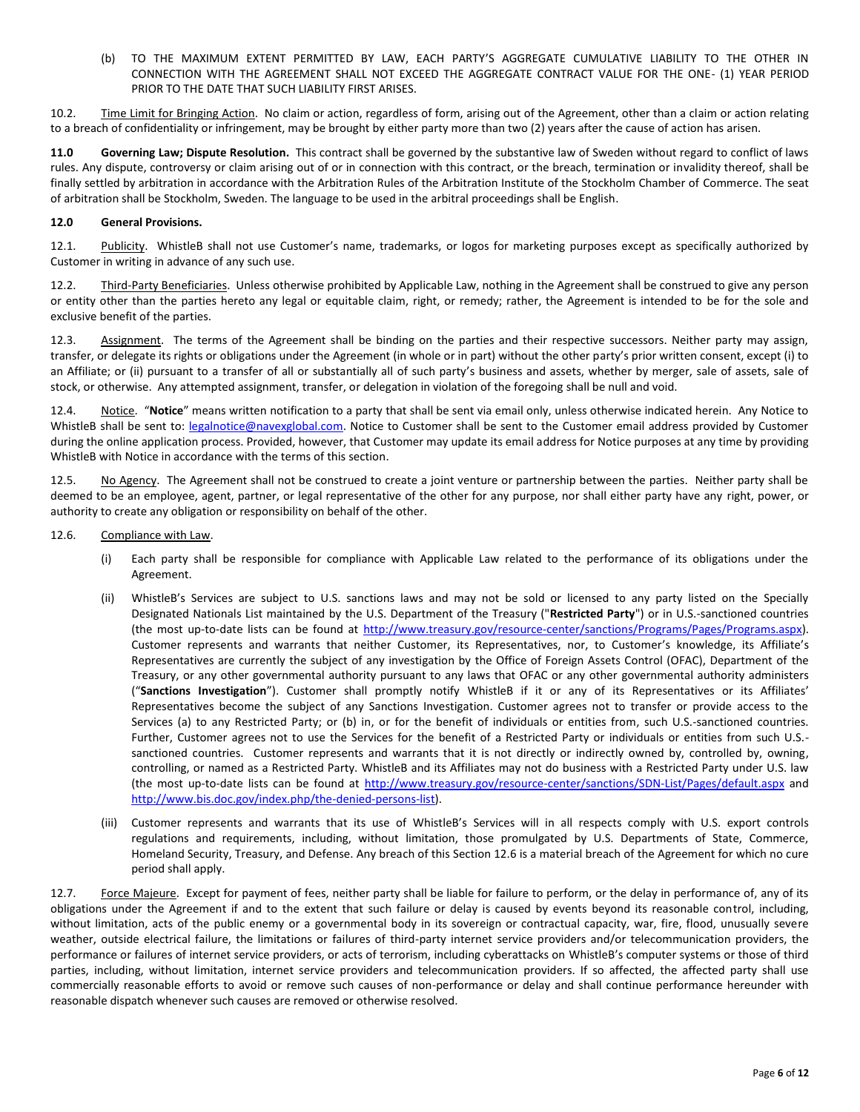(b) TO THE MAXIMUM EXTENT PERMITTED BY LAW, EACH PARTY'S AGGREGATE CUMULATIVE LIABILITY TO THE OTHER IN CONNECTION WITH THE AGREEMENT SHALL NOT EXCEED THE AGGREGATE CONTRACT VALUE FOR THE ONE- (1) YEAR PERIOD PRIOR TO THE DATE THAT SUCH LIABILITY FIRST ARISES.

10.2. Time Limit for Bringing Action. No claim or action, regardless of form, arising out of the Agreement, other than a claim or action relating to a breach of confidentiality or infringement, may be brought by either party more than two (2) years after the cause of action has arisen.

**11.0 Governing Law; Dispute Resolution.** This contract shall be governed by the substantive law of Sweden without regard to conflict of laws rules. Any dispute, controversy or claim arising out of or in connection with this contract, or the breach, termination or invalidity thereof, shall be finally settled by arbitration in accordance with the Arbitration Rules of the Arbitration Institute of the Stockholm Chamber of Commerce. The seat of arbitration shall be Stockholm, Sweden. The language to be used in the arbitral proceedings shall be English.

#### **12.0 General Provisions.**

12.1. Publicity. WhistleB shall not use Customer's name, trademarks, or logos for marketing purposes except as specifically authorized by Customer in writing in advance of any such use.

12.2. Third-Party Beneficiaries. Unless otherwise prohibited by Applicable Law, nothing in the Agreement shall be construed to give any person or entity other than the parties hereto any legal or equitable claim, right, or remedy; rather, the Agreement is intended to be for the sole and exclusive benefit of the parties.

12.3. Assignment. The terms of the Agreement shall be binding on the parties and their respective successors. Neither party may assign, transfer, or delegate its rights or obligations under the Agreement (in whole or in part) without the other party's prior written consent, except (i) to an Affiliate; or (ii) pursuant to a transfer of all or substantially all of such party's business and assets, whether by merger, sale of assets, sale of stock, or otherwise. Any attempted assignment, transfer, or delegation in violation of the foregoing shall be null and void.

12.4. Notice. "**Notice**" means written notification to a party that shall be sent via email only, unless otherwise indicated herein. Any Notice to WhistleB shall be sent to: [legalnotice@navexglobal.com.](mailto:legalnotice@navexglobal.com) Notice to Customer shall be sent to the Customer email address provided by Customer during the online application process. Provided, however, that Customer may update its email address for Notice purposes at any time by providing WhistleB with Notice in accordance with the terms of this section.

12.5. No Agency. The Agreement shall not be construed to create a joint venture or partnership between the parties. Neither party shall be deemed to be an employee, agent, partner, or legal representative of the other for any purpose, nor shall either party have any right, power, or authority to create any obligation or responsibility on behalf of the other.

#### 12.6. Compliance with Law.

- (i) Each party shall be responsible for compliance with Applicable Law related to the performance of its obligations under the Agreement.
- (ii) WhistleB's Services are subject to U.S. sanctions laws and may not be sold or licensed to any party listed on the Specially Designated Nationals List maintained by the U.S. Department of the Treasury ("**Restricted Party**") or in U.S.-sanctioned countries (the most up-to-date lists can be found at [http://www.treasury.gov/resource-center/sanctions/Programs/Pages/Programs.aspx\)](http://www.treasury.gov/resource-center/sanctions/Programs/Pages/Programs.aspx). Customer represents and warrants that neither Customer, its Representatives, nor, to Customer's knowledge, its Affiliate's Representatives are currently the subject of any investigation by the Office of Foreign Assets Control (OFAC), Department of the Treasury, or any other governmental authority pursuant to any laws that OFAC or any other governmental authority administers ("**Sanctions Investigation**"). Customer shall promptly notify WhistleB if it or any of its Representatives or its Affiliates' Representatives become the subject of any Sanctions Investigation. Customer agrees not to transfer or provide access to the Services (a) to any Restricted Party; or (b) in, or for the benefit of individuals or entities from, such U.S.-sanctioned countries. Further, Customer agrees not to use the Services for the benefit of a Restricted Party or individuals or entities from such U.S. sanctioned countries. Customer represents and warrants that it is not directly or indirectly owned by, controlled by, owning, controlling, or named as a Restricted Party. WhistleB and its Affiliates may not do business with a Restricted Party under U.S. law (the most up-to-date lists can be found at<http://www.treasury.gov/resource-center/sanctions/SDN-List/Pages/default.aspx>and [http://www.bis.doc.gov/index.php/the-denied-persons-list\)](http://www.bis.doc.gov/index.php/the-denied-persons-list).
- (iii) Customer represents and warrants that its use of WhistleB's Services will in all respects comply with U.S. export controls regulations and requirements, including, without limitation, those promulgated by U.S. Departments of State, Commerce, Homeland Security, Treasury, and Defense. Any breach of this Section 12.6 is a material breach of the Agreement for which no cure period shall apply.

12.7. Force Majeure. Except for payment of fees, neither party shall be liable for failure to perform, or the delay in performance of, any of its obligations under the Agreement if and to the extent that such failure or delay is caused by events beyond its reasonable control, including, without limitation, acts of the public enemy or a governmental body in its sovereign or contractual capacity, war, fire, flood, unusually severe weather, outside electrical failure, the limitations or failures of third-party internet service providers and/or telecommunication providers, the performance or failures of internet service providers, or acts of terrorism, including cyberattacks on WhistleB's computer systems or those of third parties, including, without limitation, internet service providers and telecommunication providers. If so affected, the affected party shall use commercially reasonable efforts to avoid or remove such causes of non-performance or delay and shall continue performance hereunder with reasonable dispatch whenever such causes are removed or otherwise resolved.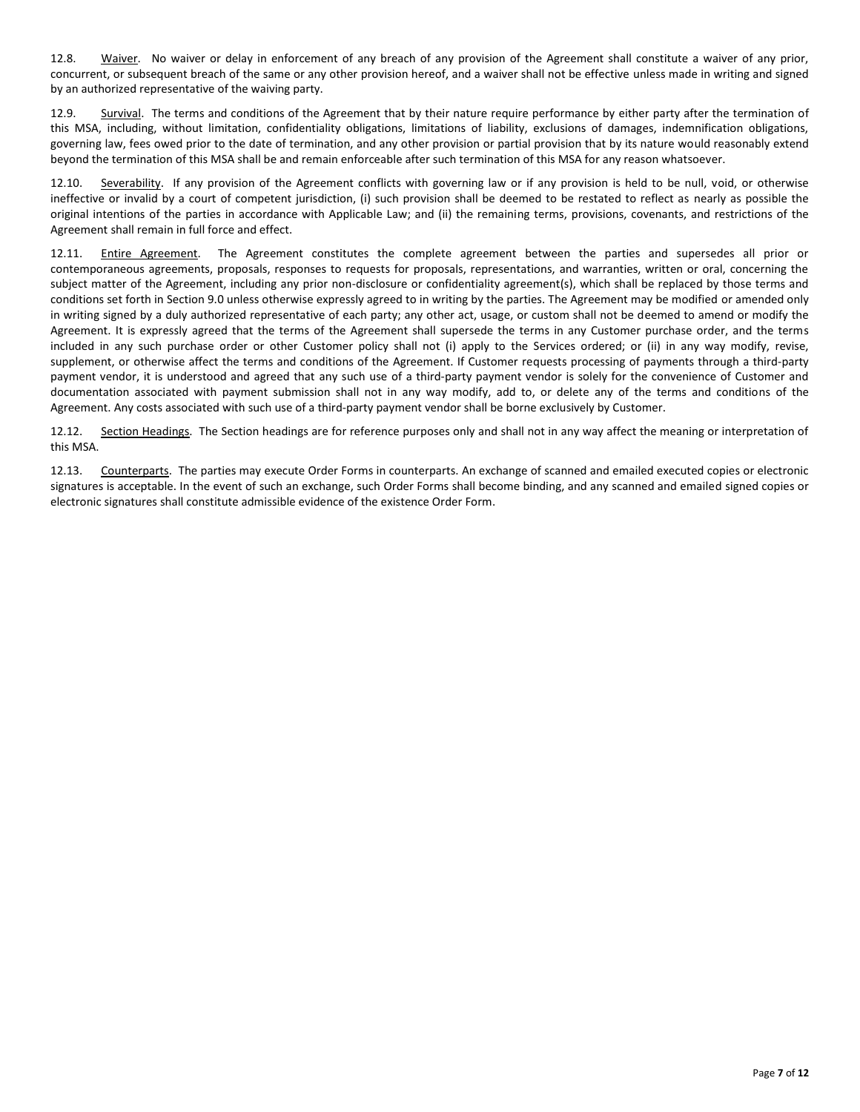12.8. Waiver. No waiver or delay in enforcement of any breach of any provision of the Agreement shall constitute a waiver of any prior, concurrent, or subsequent breach of the same or any other provision hereof, and a waiver shall not be effective unless made in writing and signed by an authorized representative of the waiving party.

12.9. Survival. The terms and conditions of the Agreement that by their nature require performance by either party after the termination of this MSA, including, without limitation, confidentiality obligations, limitations of liability, exclusions of damages, indemnification obligations, governing law, fees owed prior to the date of termination, and any other provision or partial provision that by its nature would reasonably extend beyond the termination of this MSA shall be and remain enforceable after such termination of this MSA for any reason whatsoever.

12.10. Severability. If any provision of the Agreement conflicts with governing law or if any provision is held to be null, void, or otherwise ineffective or invalid by a court of competent jurisdiction, (i) such provision shall be deemed to be restated to reflect as nearly as possible the original intentions of the parties in accordance with Applicable Law; and (ii) the remaining terms, provisions, covenants, and restrictions of the Agreement shall remain in full force and effect.

12.11. Entire Agreement. The Agreement constitutes the complete agreement between the parties and supersedes all prior or contemporaneous agreements, proposals, responses to requests for proposals, representations, and warranties, written or oral, concerning the subject matter of the Agreement, including any prior non-disclosure or confidentiality agreement(s), which shall be replaced by those terms and conditions set forth in Section 9.0 unless otherwise expressly agreed to in writing by the parties. The Agreement may be modified or amended only in writing signed by a duly authorized representative of each party; any other act, usage, or custom shall not be deemed to amend or modify the Agreement. It is expressly agreed that the terms of the Agreement shall supersede the terms in any Customer purchase order, and the terms included in any such purchase order or other Customer policy shall not (i) apply to the Services ordered; or (ii) in any way modify, revise, supplement, or otherwise affect the terms and conditions of the Agreement. If Customer requests processing of payments through a third-party payment vendor, it is understood and agreed that any such use of a third-party payment vendor is solely for the convenience of Customer and documentation associated with payment submission shall not in any way modify, add to, or delete any of the terms and conditions of the Agreement. Any costs associated with such use of a third-party payment vendor shall be borne exclusively by Customer.

12.12. Section Headings. The Section headings are for reference purposes only and shall not in any way affect the meaning or interpretation of this MSA.

12.13. Counterparts. The parties may execute Order Forms in counterparts. An exchange of scanned and emailed executed copies or electronic signatures is acceptable. In the event of such an exchange, such Order Forms shall become binding, and any scanned and emailed signed copies or electronic signatures shall constitute admissible evidence of the existence Order Form.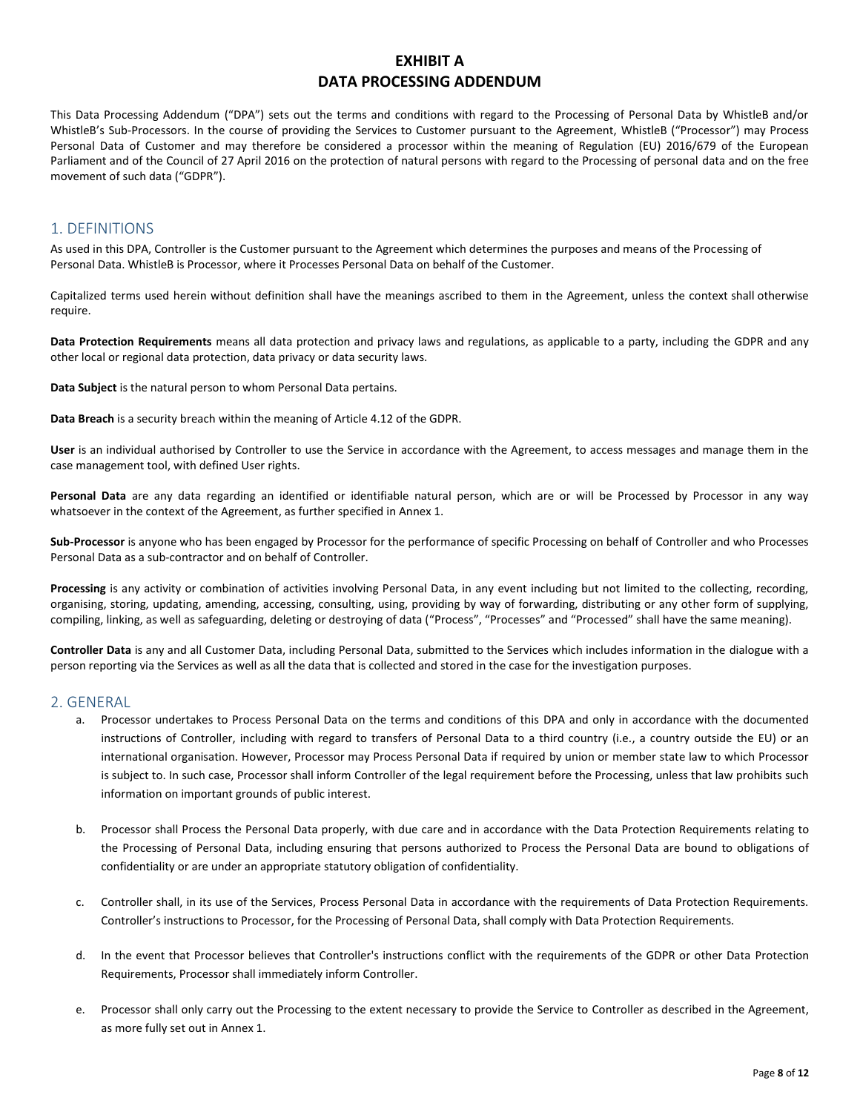# **EXHIBIT A DATA PROCESSING ADDENDUM**

This Data Processing Addendum ("DPA") sets out the terms and conditions with regard to the Processing of Personal Data by WhistleB and/or WhistleB's Sub-Processors. In the course of providing the Services to Customer pursuant to the Agreement, WhistleB ("Processor") may Process Personal Data of Customer and may therefore be considered a processor within the meaning of Regulation (EU) 2016/679 of the European Parliament and of the Council of 27 April 2016 on the protection of natural persons with regard to the Processing of personal data and on the free movement of such data ("GDPR").

# 1. DEFINITIONS

As used in this DPA, Controller is the Customer pursuant to the Agreement which determines the purposes and means of the Processing of Personal Data. WhistleB is Processor, where it Processes Personal Data on behalf of the Customer.

Capitalized terms used herein without definition shall have the meanings ascribed to them in the Agreement, unless the context shall otherwise require.

**Data Protection Requirements** means all data protection and privacy laws and regulations, as applicable to a party, including the GDPR and any other local or regional data protection, data privacy or data security laws.

**Data Subject** is the natural person to whom Personal Data pertains.

**Data Breach** is a security breach within the meaning of Article 4.12 of the GDPR.

**User** is an individual authorised by Controller to use the Service in accordance with the Agreement, to access messages and manage them in the case management tool, with defined User rights.

**Personal Data** are any data regarding an identified or identifiable natural person, which are or will be Processed by Processor in any way whatsoever in the context of the Agreement, as further specified in Annex 1.

**Sub-Processor** is anyone who has been engaged by Processor for the performance of specific Processing on behalf of Controller and who Processes Personal Data as a sub-contractor and on behalf of Controller.

**Processing** is any activity or combination of activities involving Personal Data, in any event including but not limited to the collecting, recording, organising, storing, updating, amending, accessing, consulting, using, providing by way of forwarding, distributing or any other form of supplying, compiling, linking, as well as safeguarding, deleting or destroying of data ("Process", "Processes" and "Processed" shall have the same meaning).

**Controller Data** is any and all Customer Data, including Personal Data, submitted to the Services which includes information in the dialogue with a person reporting via the Services as well as all the data that is collected and stored in the case for the investigation purposes.

#### 2. GENERAL

- a. Processor undertakes to Process Personal Data on the terms and conditions of this DPA and only in accordance with the documented instructions of Controller, including with regard to transfers of Personal Data to a third country (i.e., a country outside the EU) or an international organisation. However, Processor may Process Personal Data if required by union or member state law to which Processor is subject to. In such case, Processor shall inform Controller of the legal requirement before the Processing, unless that law prohibits such information on important grounds of public interest.
- b. Processor shall Process the Personal Data properly, with due care and in accordance with the Data Protection Requirements relating to the Processing of Personal Data, including ensuring that persons authorized to Process the Personal Data are bound to obligations of confidentiality or are under an appropriate statutory obligation of confidentiality.
- c. Controller shall, in its use of the Services, Process Personal Data in accordance with the requirements of Data Protection Requirements. Controller's instructions to Processor, for the Processing of Personal Data, shall comply with Data Protection Requirements.
- d. In the event that Processor believes that Controller's instructions conflict with the requirements of the GDPR or other Data Protection Requirements, Processor shall immediately inform Controller.
- e. Processor shall only carry out the Processing to the extent necessary to provide the Service to Controller as described in the Agreement, as more fully set out in Annex 1.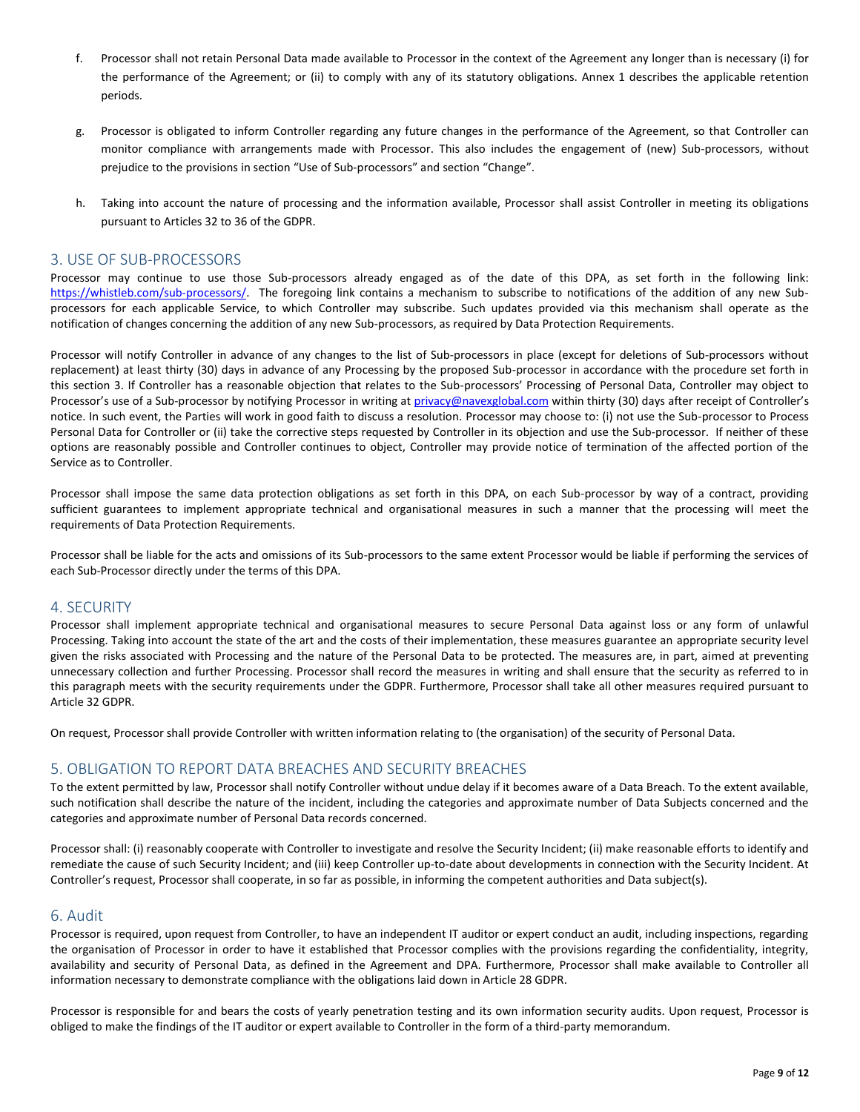- f. Processor shall not retain Personal Data made available to Processor in the context of the Agreement any longer than is necessary (i) for the performance of the Agreement; or (ii) to comply with any of its statutory obligations. Annex 1 describes the applicable retention periods.
- g. Processor is obligated to inform Controller regarding any future changes in the performance of the Agreement, so that Controller can monitor compliance with arrangements made with Processor. This also includes the engagement of (new) Sub-processors, without prejudice to the provisions in section "Use of Sub-processors" and section "Change".
- h. Taking into account the nature of processing and the information available, Processor shall assist Controller in meeting its obligations pursuant to Articles 32 to 36 of the GDPR.

#### 3. USE OF SUB-PROCESSORS

Processor may continue to use those Sub-processors already engaged as of the date of this DPA, as set forth in the following link: [https://whistleb.com/sub-processors/.](https://whistleb.com/sub-processors/) The foregoing link contains a mechanism to subscribe to notifications of the addition of any new Subprocessors for each applicable Service, to which Controller may subscribe. Such updates provided via this mechanism shall operate as the notification of changes concerning the addition of any new Sub-processors, as required by Data Protection Requirements.

Processor will notify Controller in advance of any changes to the list of Sub-processors in place (except for deletions of Sub-processors without replacement) at least thirty (30) days in advance of any Processing by the proposed Sub-processor in accordance with the procedure set forth in this section 3. If Controller has a reasonable objection that relates to the Sub-processors' Processing of Personal Data, Controller may object to Processor's use of a Sub-processor by notifying Processor in writing at [privacy@navexglobal.com](mailto:privacy@navexglobal.com) within thirty (30) days after receipt of Controller's notice. In such event, the Parties will work in good faith to discuss a resolution. Processor may choose to: (i) not use the Sub-processor to Process Personal Data for Controller or (ii) take the corrective steps requested by Controller in its objection and use the Sub-processor. If neither of these options are reasonably possible and Controller continues to object, Controller may provide notice of termination of the affected portion of the Service as to Controller.

Processor shall impose the same data protection obligations as set forth in this DPA, on each Sub-processor by way of a contract, providing sufficient guarantees to implement appropriate technical and organisational measures in such a manner that the processing will meet the requirements of Data Protection Requirements.

Processor shall be liable for the acts and omissions of its Sub-processors to the same extent Processor would be liable if performing the services of each Sub-Processor directly under the terms of this DPA.

#### 4. SECURITY

Processor shall implement appropriate technical and organisational measures to secure Personal Data against loss or any form of unlawful Processing. Taking into account the state of the art and the costs of their implementation, these measures guarantee an appropriate security level given the risks associated with Processing and the nature of the Personal Data to be protected. The measures are, in part, aimed at preventing unnecessary collection and further Processing. Processor shall record the measures in writing and shall ensure that the security as referred to in this paragraph meets with the security requirements under the GDPR. Furthermore, Processor shall take all other measures required pursuant to Article 32 GDPR.

On request, Processor shall provide Controller with written information relating to (the organisation) of the security of Personal Data.

#### 5. OBLIGATION TO REPORT DATA BREACHES AND SECURITY BREACHES

To the extent permitted by law, Processor shall notify Controller without undue delay if it becomes aware of a Data Breach. To the extent available, such notification shall describe the nature of the incident, including the categories and approximate number of Data Subjects concerned and the categories and approximate number of Personal Data records concerned.

Processor shall: (i) reasonably cooperate with Controller to investigate and resolve the Security Incident; (ii) make reasonable efforts to identify and remediate the cause of such Security Incident; and (iii) keep Controller up-to-date about developments in connection with the Security Incident. At Controller's request, Processor shall cooperate, in so far as possible, in informing the competent authorities and Data subject(s).

#### 6. Audit

Processor is required, upon request from Controller, to have an independent IT auditor or expert conduct an audit, including inspections, regarding the organisation of Processor in order to have it established that Processor complies with the provisions regarding the confidentiality, integrity, availability and security of Personal Data, as defined in the Agreement and DPA. Furthermore, Processor shall make available to Controller all information necessary to demonstrate compliance with the obligations laid down in Article 28 GDPR.

Processor is responsible for and bears the costs of yearly penetration testing and its own information security audits. Upon request, Processor is obliged to make the findings of the IT auditor or expert available to Controller in the form of a third-party memorandum.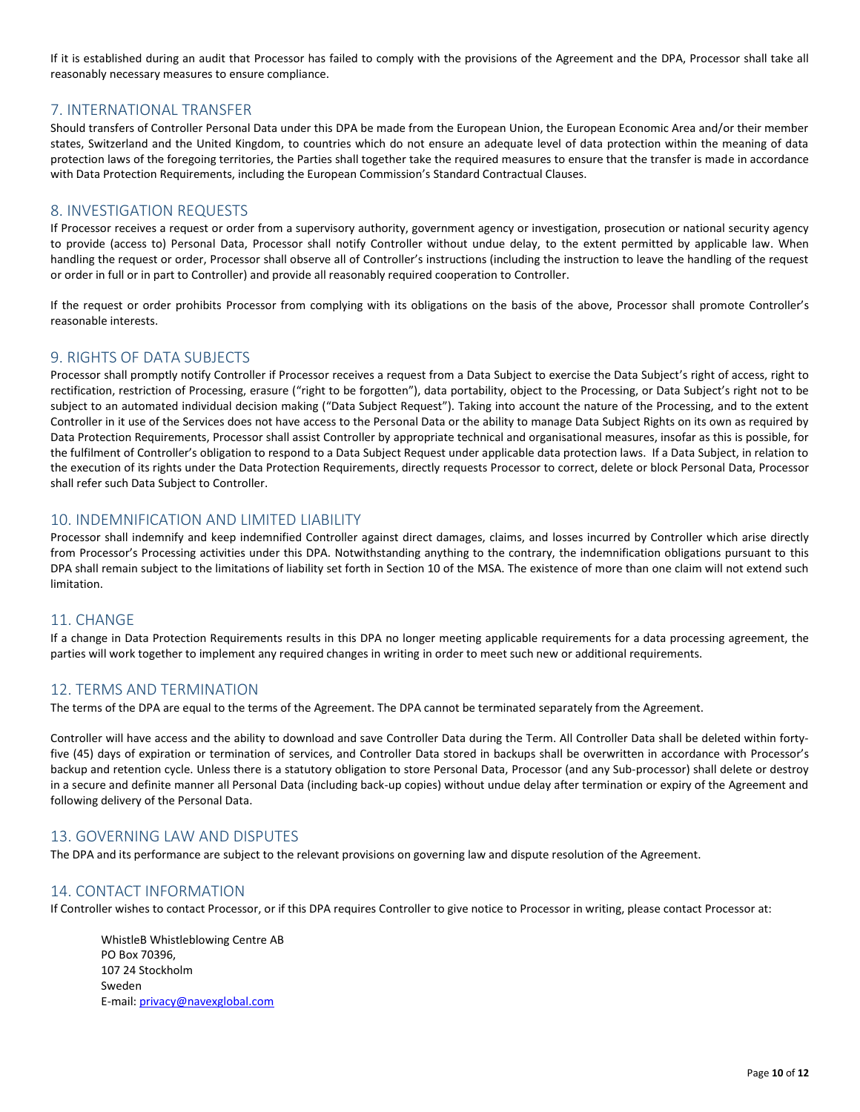If it is established during an audit that Processor has failed to comply with the provisions of the Agreement and the DPA, Processor shall take all reasonably necessary measures to ensure compliance.

## 7. INTERNATIONAL TRANSFER

Should transfers of Controller Personal Data under this DPA be made from the European Union, the European Economic Area and/or their member states, Switzerland and the United Kingdom, to countries which do not ensure an adequate level of data protection within the meaning of data protection laws of the foregoing territories, the Parties shall together take the required measures to ensure that the transfer is made in accordance with Data Protection Requirements, including the European Commission's Standard Contractual Clauses.

### 8. INVESTIGATION REQUESTS

If Processor receives a request or order from a supervisory authority, government agency or investigation, prosecution or national security agency to provide (access to) Personal Data, Processor shall notify Controller without undue delay, to the extent permitted by applicable law. When handling the request or order, Processor shall observe all of Controller's instructions (including the instruction to leave the handling of the request or order in full or in part to Controller) and provide all reasonably required cooperation to Controller.

If the request or order prohibits Processor from complying with its obligations on the basis of the above, Processor shall promote Controller's reasonable interests.

# 9. RIGHTS OF DATA SUBJECTS

Processor shall promptly notify Controller if Processor receives a request from a Data Subject to exercise the Data Subject's right of access, right to rectification, restriction of Processing, erasure ("right to be forgotten"), data portability, object to the Processing, or Data Subject's right not to be subject to an automated individual decision making ("Data Subject Request"). Taking into account the nature of the Processing, and to the extent Controller in it use of the Services does not have access to the Personal Data or the ability to manage Data Subject Rights on its own as required by Data Protection Requirements, Processor shall assist Controller by appropriate technical and organisational measures, insofar as this is possible, for the fulfilment of Controller's obligation to respond to a Data Subject Request under applicable data protection laws. If a Data Subject, in relation to the execution of its rights under the Data Protection Requirements, directly requests Processor to correct, delete or block Personal Data, Processor shall refer such Data Subject to Controller.

### 10. INDEMNIFICATION AND LIMITED LIABILITY

Processor shall indemnify and keep indemnified Controller against direct damages, claims, and losses incurred by Controller which arise directly from Processor's Processing activities under this DPA. Notwithstanding anything to the contrary, the indemnification obligations pursuant to this DPA shall remain subject to the limitations of liability set forth in Section 10 of the MSA. The existence of more than one claim will not extend such limitation.

### 11. CHANGE

If a change in Data Protection Requirements results in this DPA no longer meeting applicable requirements for a data processing agreement, the parties will work together to implement any required changes in writing in order to meet such new or additional requirements.

### 12. TERMS AND TERMINATION

The terms of the DPA are equal to the terms of the Agreement. The DPA cannot be terminated separately from the Agreement.

Controller will have access and the ability to download and save Controller Data during the Term. All Controller Data shall be deleted within fortyfive (45) days of expiration or termination of services, and Controller Data stored in backups shall be overwritten in accordance with Processor's backup and retention cycle. Unless there is a statutory obligation to store Personal Data, Processor (and any Sub-processor) shall delete or destroy in a secure and definite manner all Personal Data (including back-up copies) without undue delay after termination or expiry of the Agreement and following delivery of the Personal Data.

## 13. GOVERNING LAW AND DISPUTES

The DPA and its performance are subject to the relevant provisions on governing law and dispute resolution of the Agreement.

### 14. CONTACT INFORMATION

If Controller wishes to contact Processor, or if this DPA requires Controller to give notice to Processor in writing, please contact Processor at:

WhistleB Whistleblowing Centre AB PO Box 70396, 107 24 Stockholm Sweden E-mail[: privacy@navexglobal.com](mailto:privacy@navexglobal.com)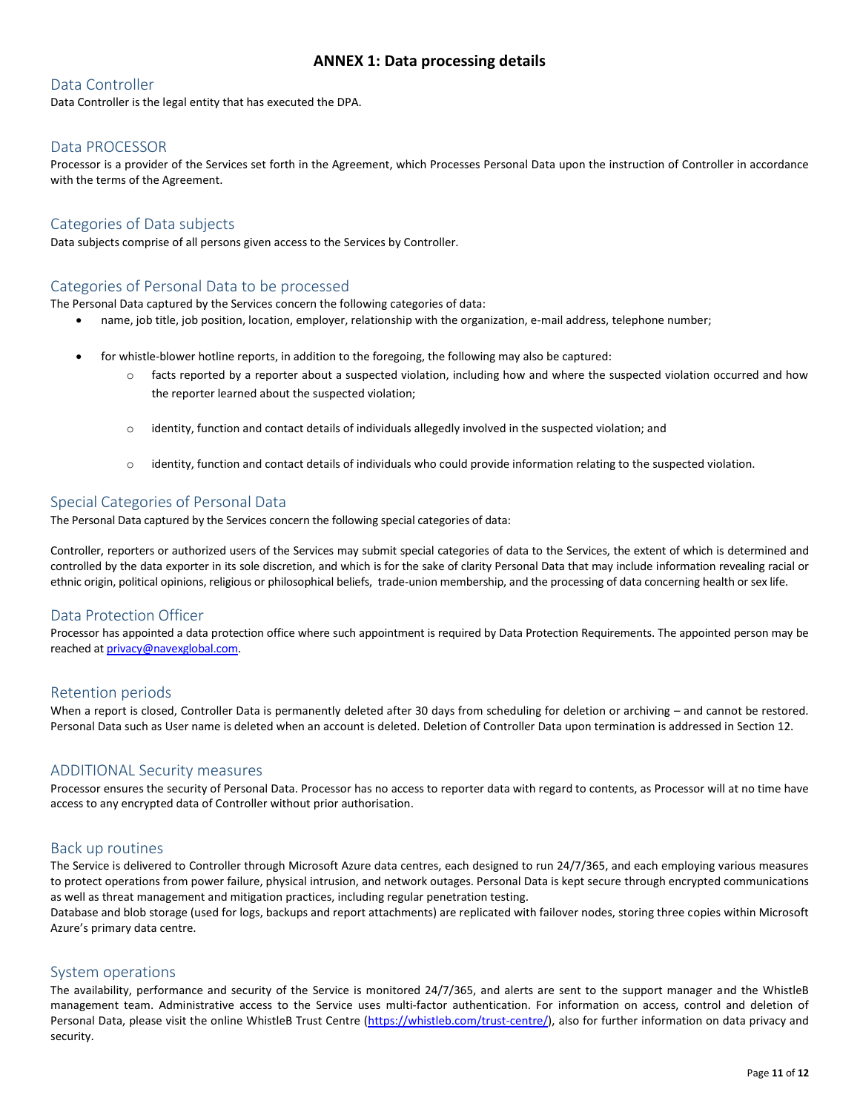# **ANNEX 1: Data processing details**

# Data Controller

Data Controller is the legal entity that has executed the DPA.

# Data PROCESSOR

Processor is a provider of the Services set forth in the Agreement, which Processes Personal Data upon the instruction of Controller in accordance with the terms of the Agreement.

# Categories of Data subjects

Data subjects comprise of all persons given access to the Services by Controller.

## Categories of Personal Data to be processed

The Personal Data captured by the Services concern the following categories of data:

- name, job title, job position, location, employer, relationship with the organization, e-mail address, telephone number;
- for whistle-blower hotline reports, in addition to the foregoing, the following may also be captured:
	- $\circ$  facts reported by a reporter about a suspected violation, including how and where the suspected violation occurred and how the reporter learned about the suspected violation;
	- $\circ$  identity, function and contact details of individuals allegedly involved in the suspected violation; and
	- $\circ$  identity, function and contact details of individuals who could provide information relating to the suspected violation.

# Special Categories of Personal Data

The Personal Data captured by the Services concern the following special categories of data:

Controller, reporters or authorized users of the Services may submit special categories of data to the Services, the extent of which is determined and controlled by the data exporter in its sole discretion, and which is for the sake of clarity Personal Data that may include information revealing racial or ethnic origin, political opinions, religious or philosophical beliefs, trade-union membership, and the processing of data concerning health or sex life.

### Data Protection Officer

Processor has appointed a data protection office where such appointment is required by Data Protection Requirements. The appointed person may be reached a[t privacy@navexglobal.com.](mailto:privacy@navexglobal.com) 

### Retention periods

When a report is closed, Controller Data is permanently deleted after 30 days from scheduling for deletion or archiving – and cannot be restored. Personal Data such as User name is deleted when an account is deleted. Deletion of Controller Data upon termination is addressed in Section 12.

### ADDITIONAL Security measures

Processor ensures the security of Personal Data. Processor has no access to reporter data with regard to contents, as Processor will at no time have access to any encrypted data of Controller without prior authorisation.

#### Back up routines

The Service is delivered to Controller through Microsoft Azure data centres, each designed to run 24/7/365, and each employing various measures to protect operations from power failure, physical intrusion, and network outages. Personal Data is kept secure through encrypted communications as well as threat management and mitigation practices, including regular penetration testing.

Database and blob storage (used for logs, backups and report attachments) are replicated with failover nodes, storing three copies within Microsoft Azure's primary data centre.

### System operations

The availability, performance and security of the Service is monitored 24/7/365, and alerts are sent to the support manager and the WhistleB management team. Administrative access to the Service uses multi-factor authentication. For information on access, control and deletion of Personal Data, please visit the online WhistleB Trust Centre [\(https://whistleb.com/trust-centre/\)](https://whistleb.com/trust-centre/), also for further information on data privacy and security.